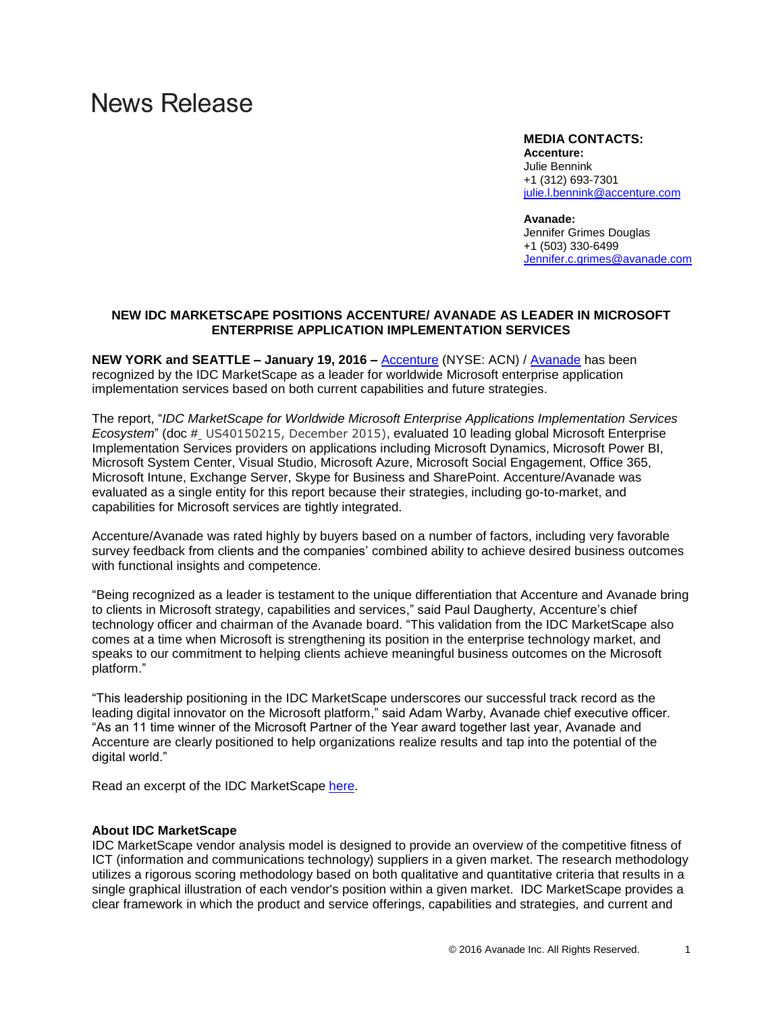# **News Release**

## **MEDIA CONTACTS:**

**Accenture:**  Julie Bennink +1 (312) 693-7301 [julie.l.bennink@accenture.com](mailto:julie.l.bennink@accenture.com)

#### **Avanade:**

Jennifer Grimes Douglas +1 (503) 330-6499 [Jennifer.c.grimes@avanade.com](mailto:Jennifer.c.grimes@avanade.com)

# **NEW IDC MARKETSCAPE POSITIONS ACCENTURE/ AVANADE AS LEADER IN MICROSOFT ENTERPRISE APPLICATION IMPLEMENTATION SERVICES**

**NEW YORK and SEATTLE – January 19, 2016 –** [Accenture](https://www.accenture.com/) (NYSE: ACN) / [Avanade](http://www.avanade.com/) has been recognized by the IDC MarketScape as a leader for worldwide Microsoft enterprise application implementation services based on both current capabilities and future strategies.

The report, "*IDC MarketScape for Worldwide Microsoft Enterprise Applications Implementation Services Ecosystem*" (doc # US40150215, December 2015), evaluated 10 leading global Microsoft Enterprise Implementation Services providers on applications including Microsoft Dynamics, Microsoft Power BI, Microsoft System Center, Visual Studio, Microsoft Azure, Microsoft Social Engagement, Office 365, Microsoft Intune, Exchange Server, Skype for Business and SharePoint. Accenture/Avanade was evaluated as a single entity for this report because their strategies, including go-to-market, and capabilities for Microsoft services are tightly integrated.

Accenture/Avanade was rated highly by buyers based on a number of factors, including very favorable survey feedback from clients and the companies' combined ability to achieve desired business outcomes with functional insights and competence.

"Being recognized as a leader is testament to the unique differentiation that Accenture and Avanade bring to clients in Microsoft strategy, capabilities and services," said Paul Daugherty, Accenture's chief technology officer and chairman of the Avanade board. "This validation from the IDC MarketScape also comes at a time when Microsoft is strengthening its position in the enterprise technology market, and speaks to our commitment to helping clients achieve meaningful business outcomes on the Microsoft platform."

"This leadership positioning in the IDC MarketScape underscores our successful track record as the leading digital innovator on the Microsoft platform," said Adam Warby, Avanade chief executive officer. "As an 11 time winner of the Microsoft Partner of the Year award together last year, Avanade and Accenture are clearly positioned to help organizations realize results and tap into the potential of the digital world."

Read an excerpt of the IDC MarketScape [here](http://idcdocserv.com/US40150215e_Avanade).

# **About IDC MarketScape**

IDC MarketScape vendor analysis model is designed to provide an overview of the competitive fitness of ICT (information and communications technology) suppliers in a given market. The research methodology utilizes a rigorous scoring methodology based on both qualitative and quantitative criteria that results in a single graphical illustration of each vendor's position within a given market. IDC MarketScape provides a clear framework in which the product and service offerings, capabilities and strategies, and current and